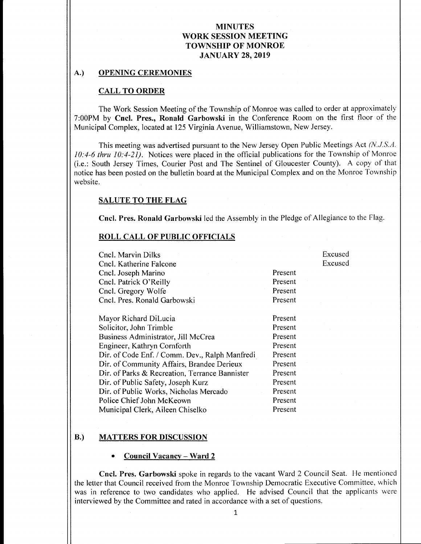#### A.) OPENING CEREMONIES

#### CALL TO ORDER

The Work Session Meeting of the Township of Monroe was called to order at approximately 7: 00PM by Cncl. Pres., Ronald Garbowski in the Conference Room on the first floor of the Municipal Complex, located at 125 Virginia Avenue, Williamstown, New Jersey.

This meeting was advertised pursuant to the New Jersey Open Public Meetings Act (N.J.S.A. 10:4-6 thru  $10:4-21$ ). Notices were placed in the official publications for the Township of Monroe (i.e.: South Jersey Times, Courier Post and The Sentinel of Gloucester County). A copy of that notice has been posted on the bulletin board at the Municipal Complex and on the Monroe Township website.

#### SALUTE TO THE FLAG

Cncl. Pres. Ronald Garbowski led the Assembly in the Pledge of Allegiance to the Flag.

#### ROLL CALL OF PUBLIC OFFICIALS

| Cncl. Marvin Dilks           |         | Excused |
|------------------------------|---------|---------|
| Cncl. Katherine Falcone      |         | Excused |
| Cncl. Joseph Marino          | Present |         |
| Cncl. Patrick O'Reilly       | Present |         |
| Cncl. Gregory Wolfe          | Present |         |
| Cncl. Pres. Ronald Garbowski | Present |         |

| Mayor Richard DiLucia                          | Present |
|------------------------------------------------|---------|
| Solicitor, John Trimble                        | Present |
| Business Administrator, Jill McCrea            | Present |
| Engineer, Kathryn Cornforth                    | Present |
| Dir. of Code Enf. / Comm. Dev., Ralph Manfredi | Present |
| Dir. of Community Affairs, Brandee Derieux     | Present |
| Dir. of Parks & Recreation, Terrance Bannister | Present |
| Dir. of Public Safety, Joseph Kurz             | Present |
| Dir. of Public Works, Nicholas Mercado         | Present |
| Police Chief John McKeown                      | Present |
| Municipal Clerk, Aileen Chiselko               | Present |

# B.) MATTERS FOR DISCUSSION

#### Council Vacancy— Ward <sup>2</sup>

Cncl. Pres. Garbowski spoke in regards to the vacant Ward 2 Council Seat. He mentioned the letter that Council received from the Monroe Township Democratic Executive Committee, which was in reference to two candidates who applied. He advised Council that the applicants were interviewed by the Committee and rated in accordance with <sup>a</sup> set of questions.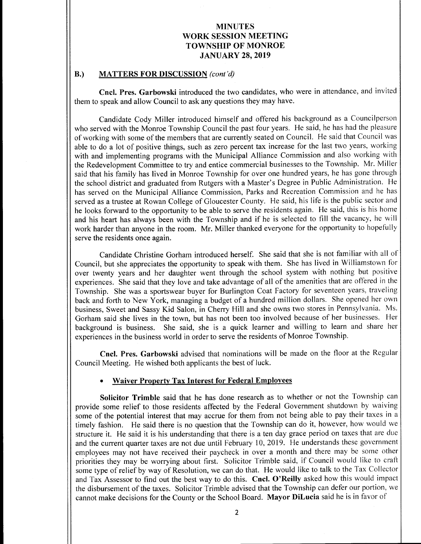#### B.) MATTERS FOR DISCUSSION (cont'd)

Cncl. Pres. Garbowski introduced the two candidates, who were in attendance, and invited them to speak and allow Council to ask any questions they may have.

Candidate Cody Miller introduced himself and offered his background as <sup>a</sup> Councilperson who served with the Monroe Township Council the past four years. He said, he has had the pleasure of working with some of the members that are currently seated on Council. He said that Council was able to do <sup>a</sup> lot of positive things, such as zero percent tax increase for the last two years, working with and implementing programs with the Municipal Alliance Commission and also working with the Redevelopment Committee to try and entice commercial businesses to the Township. Mr. Miller said that his family has lived in Monroe Township for over one hundred years, he has gone through the school district and graduated from Rutgers with a Master's Degree in Public Administration. He has served on the Municipal Alliance Commission, Parks and Recreation Commission and he has served as <sup>a</sup> trustee at Rowan College of Gloucester County. He said, his life is the public sector and he looks forward to the opportunity to be able to serve the residents again. He said, this is his home and his heart has always been with the Township and if he is selected to fill the vacancy, he will work harder than anyone in the room. Mr. Miller thanked everyone for the opportunity to hopefully serve the residents once again.

Candidate Christine Gorham introduced herself. She said that she is not familiar with all of Council, but she appreciates the opportunity to speak with them. She has lived in Williamstown for over twenty years and her daughter went through the school system with nothing but positive experiences. She said that they love and take advantage of all of the amenities that are offered in the Township. She was <sup>a</sup> sportswear buyer for Burlington Coat Factory for seventeen years, traveling back and forth to New York, managing <sup>a</sup> budget of <sup>a</sup> hundred million dollars. She opened her own business, Sweet and Sassy Kid Salon, in Cherry Hill and she owns two stores in Pennsylvania. Ms. Gorham said she lives in the town, but has not been too involved because of her businesses. Her background is business. She said, she is <sup>a</sup> quick learner and willing to learn and share her experiences in the business world in order to serve the residents of Monroe Township.

Cncl. Pres. Garbowski advised that nominations will be made on the floor at the Regular Council Meeting. He wished both applicants the best of luck.

## Waiver Property Tax Interest for Federal Employees

Solicitor Trimble said that he has done research as to whether or not the Township can provide some relief to those residents affected by the Federal Government shutdown by waiving some of the potential interest that may accrue for them from not being able to pay their taxes in <sup>a</sup> timely fashion. He said there is no question that the Township can do it, however, how would we structure it. He said it is his understanding that there is <sup>a</sup> ten day grace period on taxes that are due and the current quarter taxes are not due until February 10, 2019. He understands these government employees may not have received their paycheck in over a month and there may be some other priorities they may be worrying about first. Solicitor Trimble said, if Council would like to craft some type of relief by way of Resolution, we can do that. He would like to talk to the Tax Collector and Tax Assessor to find out the best way to do this. Cncl. O' Reilly asked how this would impact the disbursement of the taxes. Solicitor Trimble advised that the Township can defer our portion, we cannot make decisions for the County or the School Board. Mayor DiLucia said he is in favor of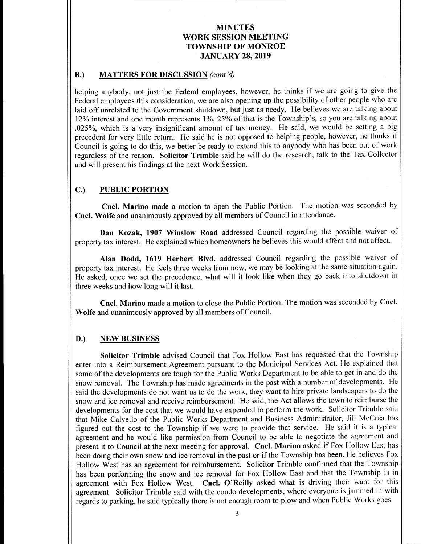## B.) MATTERS FOR DISCUSSION (cont'd)

helping anybody, not just the Federal employees, however, he thinks if we are going to give the Federal employees this consideration, we are also opening up the possibility of other people who are laid off unrelated to the Government shutdown, but just as needy. He believes we are talking about 12% interest and one month represents 1%, 25% of that is the Township's, so you are talking about 025%, which is <sup>a</sup> very insignificant amount of tax money. He said, we would be setting <sup>a</sup> big precedent for very little return. He said he is not opposed to helping people, however, he thinks if Council is going to do this, we better be ready to extend this to anybody who has been out of work regardless of the reason. Solicitor Trimble said he will do the research, talk to the Tax Collector and will present his findings at the next Work Session.

## C.) PUBLIC PORTION

Cncl. Marino made <sup>a</sup> motion to open the Public Portion. The motion was seconded by Cncl. Wolfe and unanimously approved by all members of Council in attendance.

Dan Kozak, 1907 Winslow Road addressed Council regarding the possible waiver of property tax interest. He explained which homeowners he believes this would affect and not affect.

Alan Dodd, 1619 Herbert Blvd. addressed Council regarding the possible waiver of property tax interest. He feels three weeks from now, we may be looking at the same situation again. He asked, once we set the precedence, what will it look like when they go back into shutdown in three weeks and how long will it last.

Cncl. Marino made <sup>a</sup> motion to close the Public Portion. The motion was seconded by Cncl. Wolfe and unanimously approved by all members of Council.

#### D.) NEW BUSINESS

Solicitor Trimble advised Council that Fox Hollow East has requested that the Township enter into a Reimbursement Agreement pursuant to the Municipal Services Act. He explained that some of the developments are tough for the Public Works Department to be able to get in and do the snow removal. The Township has made agreements in the past with <sup>a</sup> number of developments. He said the developments do not want us to do the work, they want to hire private landscapers to do the snow and ice removal and receive reimbursement. He said, the Act allows the town to reimburse the developments for the cost that we would have expended to perform the work. Solicitor Trimble said that Mike Calvello of the Public Works Department and Business Administrator, Jill McCrea has figured out the cost to the Township if we were to provide that service. He said it is <sup>a</sup> typical agreement and he would like permission from Council to be able to negotiate the agreement and present it to Council at the next meeting for approval. Cncl. Marino asked if Fox Hollow East has been doing their own snow and ice removal in the past or if the Township has been. He believes Fox Hollow West has an agreement for reimbursement. Solicitor Trimble confirmed that the Township has been performing the snow and ice removal for Fox Hollow East and that the Township is in agreement with Fox Hollow West. Cncl. O'Reilly asked what is driving their want for this agreement. Solicitor Trimble said with the condo developments, where everyone is jammed in with regards to parking, he said typically there is not enough room to plow and when Public Works goes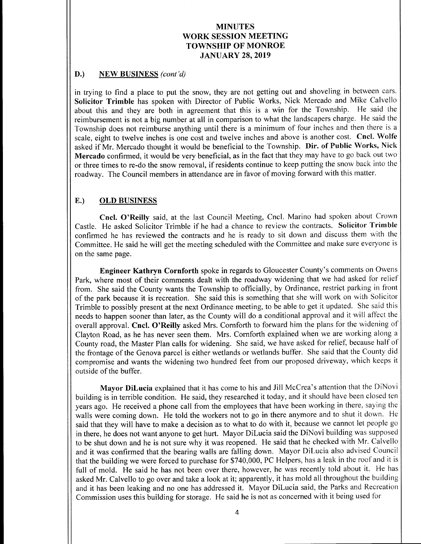## D.) NEW BUSINESS (cont'd)

in trying to find <sup>a</sup> place to put the snow, they are not getting out and shoveling in between cars. Solicitor Trimble has spoken with Director of Public Works, Nick Mercado and Mike Calvello about this and they are both in agreement that this is <sup>a</sup> win for the Township. He said the reimbursement is not <sup>a</sup> big number at all in comparison to what the landscapers charge. He said the Township does not reimburse anything until there is <sup>a</sup> minimum of four inches and then there is <sup>a</sup> scale, eight to twelve inches is one cost and twelve inches and above is another cost. Cncl. Wolfe asked if Mr. Mercado thought it would be beneficial to the Township. Dir. of Public Works, Nick Mercado confirmed, it would be very beneficial, as in the fact that they may have to go back out two or three times to re-do the snow removal, if residents continue to keep putting the snow back into the roadway. The Council members in attendance are in favor of moving forward with this matter.

## E.) OLD BUSINESS

Cncl. O' Reilly said, at the last Council Meeting, Cncl. Marino had spoken about Crown Castle. He asked Solicitor Trimble if he had <sup>a</sup> chance to review the contracts. Solicitor Trimble confirmed he has reviewed the contracts and he is ready to sit down and discuss them with the Committee. He said he will get the meeting scheduled with the Committee and make sure everyone is on the same page.

Engineer Kathryn Cornforth spoke in regards to Gloucester County's comments on Owens Park, where most of their comments dealt with the roadway widening that we had asked for relief from. She said the County wants the Township to officially, by Ordinance, restrict parking in front of the park because it is recreation. She said this is something that she will work on with Solicitor Trimble to possibly present at the next Ordinance meeting, to be able to get it updated. She said this needs to happen sooner than later, as the County will do <sup>a</sup> conditional approval and it will affect the overall approval. Cncl. O'Reilly asked Mrs. Cornforth to forward him the plans for the widening of Clayton Road, as he has never seen them. Mrs. Cornforth explained when we are working along a County road, the Master Plan calls for widening. She said, we have asked for relief, because half of the frontage of the Genova parcel is either wetlands or wetlands buffer. She said that the County did compromise and wants the widening two hundred feet from our proposed driveway, which keeps it outside of the buffer.

Mayor DiLucia explained that it has come to his and Jill McCrea's attention that the DiNovi building is in terrible condition. He said, they researched it today, and it should have been closed ten years ago. He received a phone call from the employees that have been working in there, saying the walls were coming down. He told the workers not to go in there anymore and to shut it down. He said that they will have to make <sup>a</sup> decision as to what to do with it, because we cannot let people go in there, he does not want anyone to get hurt. Mayor DiLucia said the DiNovi building was supposed to be shut down and he is not sure why it was reopened. He said that he checked with Mr. Calvello and it was confirmed that the bearing walls are falling down. Mayor DiLucia also advised Council that the building we were forced to purchase for \$740,000, PC Helpers, has a leak in the roof and it is full of mold. He said he has not been over there, however, he was recently told about it. He has asked Mr. Calvello to go over and take <sup>a</sup> look at it; apparently, it has mold all throughout the building and it has been leaking and no one has addressed it. Mayor DiLucia said, the Parks and Recreation Commission uses this building for storage. He said he is not as concerned with it being used for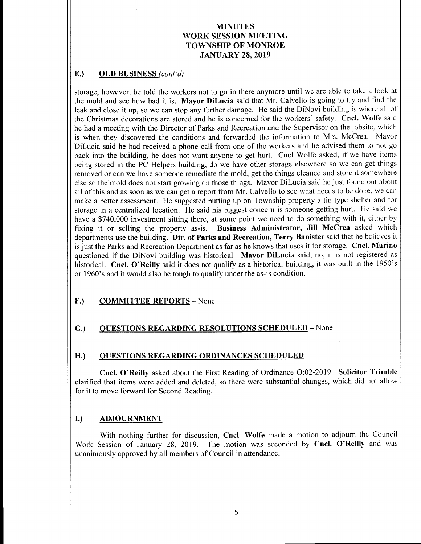## E.) OLD BUSINESS (cont'd)

storage, however, he told the workers not to go in there anymore until we are able to take <sup>a</sup> look at the mold and see how bad it is. Mayor DiLucia said that Mr. Calvello is going to try and find the leak and close it up, so we can stop any further damage. He said the DiNovi building is where all of the Christmas decorations are stored and he is concerned for the workers' safety. Cncl. Wolfe said he had <sup>a</sup> meeting with the Director of Parks and Recreation and the Supervisor on the jobsite, which is when they discovered the conditions and forwarded the information to Mrs. McCrea. Mayor DiLucia said he had received <sup>a</sup> phone call from one of the workers and he advised them to not go back into the building, he does not want anyone to get hurt. Cncl Wolfe asked, if we have items being stored in the PC Helpers building, do we have other storage elsewhere so we can get things removed or can we have someone remediate the mold, get the things cleaned and store it somewhere else so the mold does not start growing on those things. Mayor DiLucia said he just found out about all of this and as soon as we can get <sup>a</sup> report from Mr. Calvello to see what needs to be done, we can make <sup>a</sup> better assessment. He suggested putting up on Township property <sup>a</sup> tin type shelter and for storage in <sup>a</sup> centralized location. He said his biggest concern is someone getting hurt. He said we have a \$740,000 investment sitting there, at some point we need to do something with it, either by fixing it or selling the property as-is. Business Administrator, Jill McCrea asked which Business Administrator, Jill McCrea asked which departments use the building. Dir. of Parks and Recreation, Terry Banister said that he believes it is just the Parks and Recreation Department as far as he knows that uses it for storage. Cncl. Marino questioned if the DiNovi building was historical. Mayor DiLucia said, no, it is not registered as historical. Cncl. O'Reilly said it does not qualify as a historical building, it was built in the 1950's or 1960's and it would also be tough to qualify under the as-is condition.

## F.) COMMITTEE REPORTS - None

## G.) QUESTIONS REGARDING RESOLUTIONS SCHEDULED - None

## H.) QUESTIONS REGARDING ORDINANCES SCHEDULED

Cncl. O'Reilly asked about the First Reading of Ordinance O:02-2019. Solicitor Trimble clarified that items were added and deleted, so there were substantial changes, which did not allow for it to move forward for Second Reading.

## I.) ADJOURNMENT

With nothing further for discussion, Cncl. Wolfe made a motion to adjourn the Council<br>Work Session of January 28, 2019. The motion was seconded by Cncl. O'Reilly and was The motion was seconded by Cncl. O'Reilly and was unanimously approved by all members of Council in attendance.